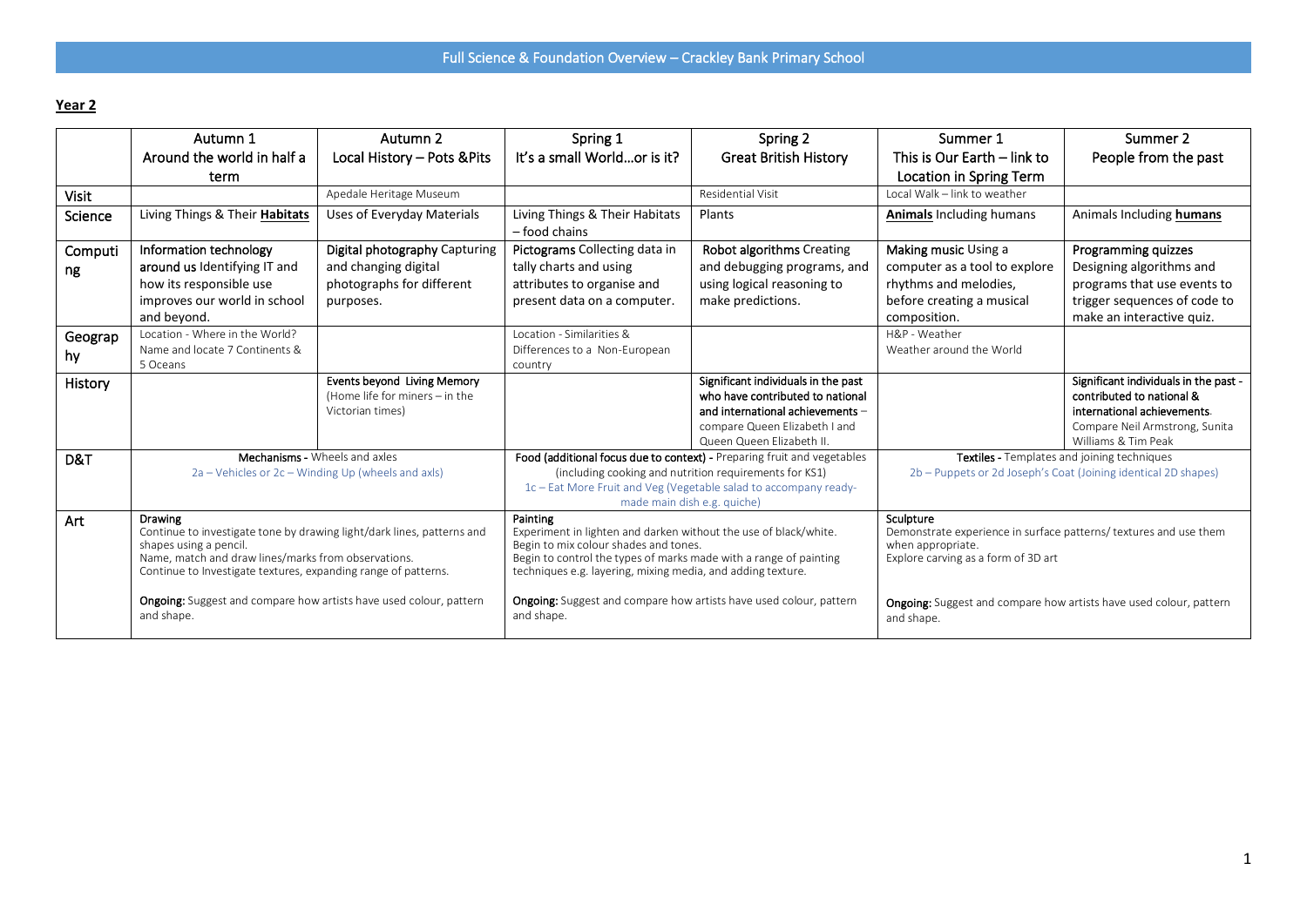## **Year 2**

|         | Autumn 1                                                                                 | Autumn 2                       | Spring 1                                                                                                                          | Spring 2                                                         | Summer 1                                                                               | Summer 2                              |
|---------|------------------------------------------------------------------------------------------|--------------------------------|-----------------------------------------------------------------------------------------------------------------------------------|------------------------------------------------------------------|----------------------------------------------------------------------------------------|---------------------------------------|
|         | Around the world in half a                                                               | Local History - Pots & Pits    | It's a small Worldor is it?                                                                                                       | <b>Great British History</b>                                     | This is Our Earth - link to                                                            | People from the past                  |
|         | term                                                                                     |                                |                                                                                                                                   |                                                                  | Location in Spring Term                                                                |                                       |
| Visit   |                                                                                          | Apedale Heritage Museum        |                                                                                                                                   | Residential Visit                                                | Local Walk - link to weather                                                           |                                       |
| Science | Living Things & Their Habitats                                                           | Uses of Everyday Materials     | Living Things & Their Habitats<br>$-$ food chains                                                                                 | Plants                                                           | <b>Animals Including humans</b>                                                        | Animals Including humans              |
| Computi | Information technology                                                                   | Digital photography Capturing  | Pictograms Collecting data in                                                                                                     | Robot algorithms Creating                                        | Making music Using a                                                                   | <b>Programming quizzes</b>            |
| ng      | around us Identifying IT and                                                             | and changing digital           | tally charts and using                                                                                                            | and debugging programs, and                                      | computer as a tool to explore                                                          | Designing algorithms and              |
|         | how its responsible use                                                                  | photographs for different      | attributes to organise and                                                                                                        | using logical reasoning to                                       | rhythms and melodies,                                                                  | programs that use events to           |
|         | improves our world in school                                                             | purposes.                      | present data on a computer.                                                                                                       | make predictions.                                                | before creating a musical                                                              | trigger sequences of code to          |
|         | and beyond.                                                                              |                                |                                                                                                                                   |                                                                  | composition.                                                                           | make an interactive quiz.             |
| Geograp | Location - Where in the World?                                                           |                                | Location - Similarities &                                                                                                         |                                                                  | H&P - Weather                                                                          |                                       |
| hy      | Name and locate 7 Continents &                                                           |                                | Differences to a Non-European                                                                                                     |                                                                  | Weather around the World                                                               |                                       |
|         | 5 Oceans                                                                                 |                                | country                                                                                                                           |                                                                  |                                                                                        |                                       |
| History |                                                                                          | Events beyond Living Memory    |                                                                                                                                   | Significant individuals in the past                              |                                                                                        | Significant individuals in the past - |
|         |                                                                                          | (Home life for miners - in the |                                                                                                                                   | who have contributed to national                                 |                                                                                        | contributed to national &             |
|         |                                                                                          | Victorian times)               |                                                                                                                                   | and international achievements -                                 |                                                                                        | international achievements.           |
|         |                                                                                          |                                |                                                                                                                                   | compare Queen Elizabeth I and                                    |                                                                                        | Compare Neil Armstrong, Sunita        |
|         |                                                                                          |                                |                                                                                                                                   | Queen Queen Elizabeth II.                                        | Williams & Tim Peak<br>Textiles - Templates and joining techniques                     |                                       |
| D&T     | Mechanisms - Wheels and axles<br>2a – Vehicles or 2c – Winding Up (wheels and axls)      |                                | Food (additional focus due to context) - Preparing fruit and vegetables<br>(including cooking and nutrition requirements for KS1) |                                                                  | 2b – Puppets or 2d Joseph's Coat (Joining identical 2D shapes)                         |                                       |
|         |                                                                                          |                                |                                                                                                                                   | 1c - Eat More Fruit and Veg (Vegetable salad to accompany ready- |                                                                                        |                                       |
|         |                                                                                          |                                | made main dish e.g. quiche)                                                                                                       |                                                                  |                                                                                        |                                       |
| Art     | <b>Drawing</b><br>Continue to investigate tone by drawing light/dark lines, patterns and |                                | Painting                                                                                                                          |                                                                  | Sculpture                                                                              |                                       |
|         | shapes using a pencil.                                                                   |                                | Experiment in lighten and darken without the use of black/white.<br>Begin to mix colour shades and tones.                         |                                                                  | Demonstrate experience in surface patterns/ textures and use them<br>when appropriate. |                                       |
|         | Name, match and draw lines/marks from observations.                                      |                                | Begin to control the types of marks made with a range of painting                                                                 |                                                                  | Explore carving as a form of 3D art                                                    |                                       |
|         | Continue to Investigate textures, expanding range of patterns.                           |                                | techniques e.g. layering, mixing media, and adding texture.                                                                       |                                                                  |                                                                                        |                                       |
|         |                                                                                          |                                |                                                                                                                                   |                                                                  |                                                                                        |                                       |
|         | <b>Ongoing:</b> Suggest and compare how artists have used colour, pattern                |                                | <b>Ongoing:</b> Suggest and compare how artists have used colour, pattern                                                         |                                                                  | Ongoing: Suggest and compare how artists have used colour, pattern                     |                                       |
|         | and shape.                                                                               |                                | and shape.                                                                                                                        |                                                                  | and shape.                                                                             |                                       |
|         |                                                                                          |                                |                                                                                                                                   |                                                                  |                                                                                        |                                       |